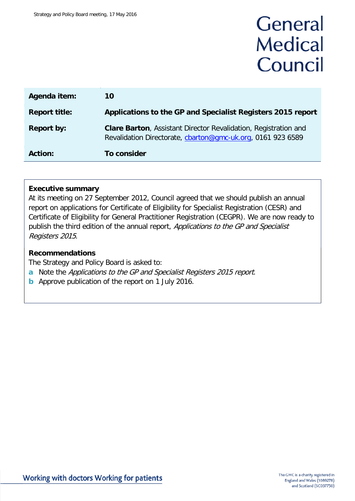# General **Medical** Council

| <b>Agenda item:</b>  | 10                                                                                                                                     |
|----------------------|----------------------------------------------------------------------------------------------------------------------------------------|
| <b>Report title:</b> | Applications to the GP and Specialist Registers 2015 report                                                                            |
| <b>Report by:</b>    | <b>Clare Barton</b> , Assistant Director Revalidation, Registration and<br>Revalidation Directorate, charton@gmc-uk.org, 0161 923 6589 |
| <b>Action:</b>       | <b>To consider</b>                                                                                                                     |

#### **Executive summary**

At its meeting on 27 September 2012, Council agreed that we should publish an annual report on applications for Certificate of Eligibility for Specialist Registration (CESR) and Certificate of Eligibility for General Practitioner Registration (CEGPR). We are now ready to publish the third edition of the annual report, Applications to the GP and Specialist Registers 2015.

#### **Recommendations**

The Strategy and Policy Board is asked to:

- **a** Note the Applications to the GP and Specialist Registers 2015 report.
- **b** Approve publication of the report on 1 July 2016.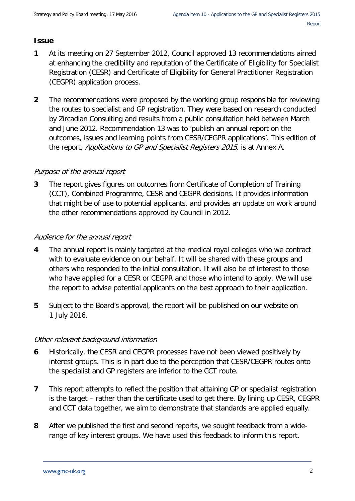# **Issue**

- **1** At its meeting on 27 September 2012, Council approved 13 recommendations aimed at enhancing the credibility and reputation of the Certificate of Eligibility for Specialist Registration (CESR) and Certificate of Eligibility for General Practitioner Registration (CEGPR) application process.
- **2** The recommendations were proposed by the working group responsible for reviewing the routes to specialist and GP registration. They were based on research conducted by Zircadian Consulting and results from a public consultation held between March and June 2012. Recommendation 13 was to 'publish an annual report on the outcomes, issues and learning points from CESR/CEGPR applications'. This edition of the report, Applications to GP and Specialist Registers 2015, is at Annex A.

## Purpose of the annual report

**3** The report gives figures on outcomes from Certificate of Completion of Training (CCT), Combined Programme, CESR and CEGPR decisions. It provides information that might be of use to potential applicants, and provides an update on work around the other recommendations approved by Council in 2012.

# Audience for the annual report

- **4** The annual report is mainly targeted at the medical royal colleges who we contract with to evaluate evidence on our behalf. It will be shared with these groups and others who responded to the initial consultation. It will also be of interest to those who have applied for a CESR or CEGPR and those who intend to apply. We will use the report to advise potential applicants on the best approach to their application.
- **5** Subject to the Board's approval, the report will be published on our website on 1 July 2016.

## Other relevant background information

- **6** Historically, the CESR and CEGPR processes have not been viewed positively by interest groups. This is in part due to the perception that CESR/CEGPR routes onto the specialist and GP registers are inferior to the CCT route.
- **7** This report attempts to reflect the position that attaining GP or specialist registration is the target – rather than the certificate used to get there. By lining up CESR, CEGPR and CCT data together, we aim to demonstrate that standards are applied equally.
- **8** After we published the first and second reports, we sought feedback from a widerange of key interest groups. We have used this feedback to inform this report.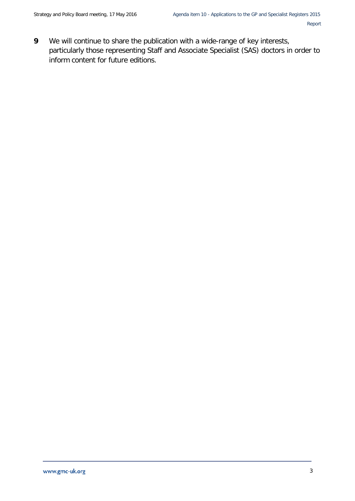**9** We will continue to share the publication with a wide-range of key interests, particularly those representing Staff and Associate Specialist (SAS) doctors in order to inform content for future editions.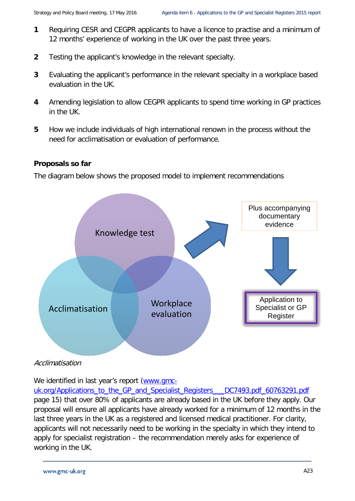- **1** Requiring CESR and CEGPR applicants to have a licence to practise and a minimum of 12 months' experience of working in the UK over the past three years.
- **2** Testing the applicant's knowledge in the relevant specialty.
- **3** Evaluating the applicant's performance in the relevant specialty in a workplace based evaluation in the UK.
- **4** Amending legislation to allow CEGPR applicants to spend time working in GP practices in the UK.
- **5** How we include individuals of high international renown in the process without the need for acclimatisation or evaluation of performance.

# **Proposals so far**

The diagram below shows the proposed model to implement recommendations



Acclimatisation

We identified in last year's report [\(www.gmc-](http://www.gmc-uk.org/Applications_to_the_GP_and_Specialist_Registers___DC7493.pdf_60763291.pdf)

[uk.org/Applications\\_to\\_the\\_GP\\_and\\_Specialist\\_Registers\\_\\_\\_DC7493.pdf\\_60763291.pdf](http://www.gmc-uk.org/Applications_to_the_GP_and_Specialist_Registers___DC7493.pdf_60763291.pdf) page 15) that over 80% of applicants are already based in the UK before they apply. Our proposal will ensure all applicants have already worked for a minimum of 12 months in the last three years in the UK as a registered and licensed medical practitioner. For clarity, applicants will not necessarily need to be working in the specialty in which they intend to apply for specialist registration – the recommendation merely asks for experience of working in the UK.